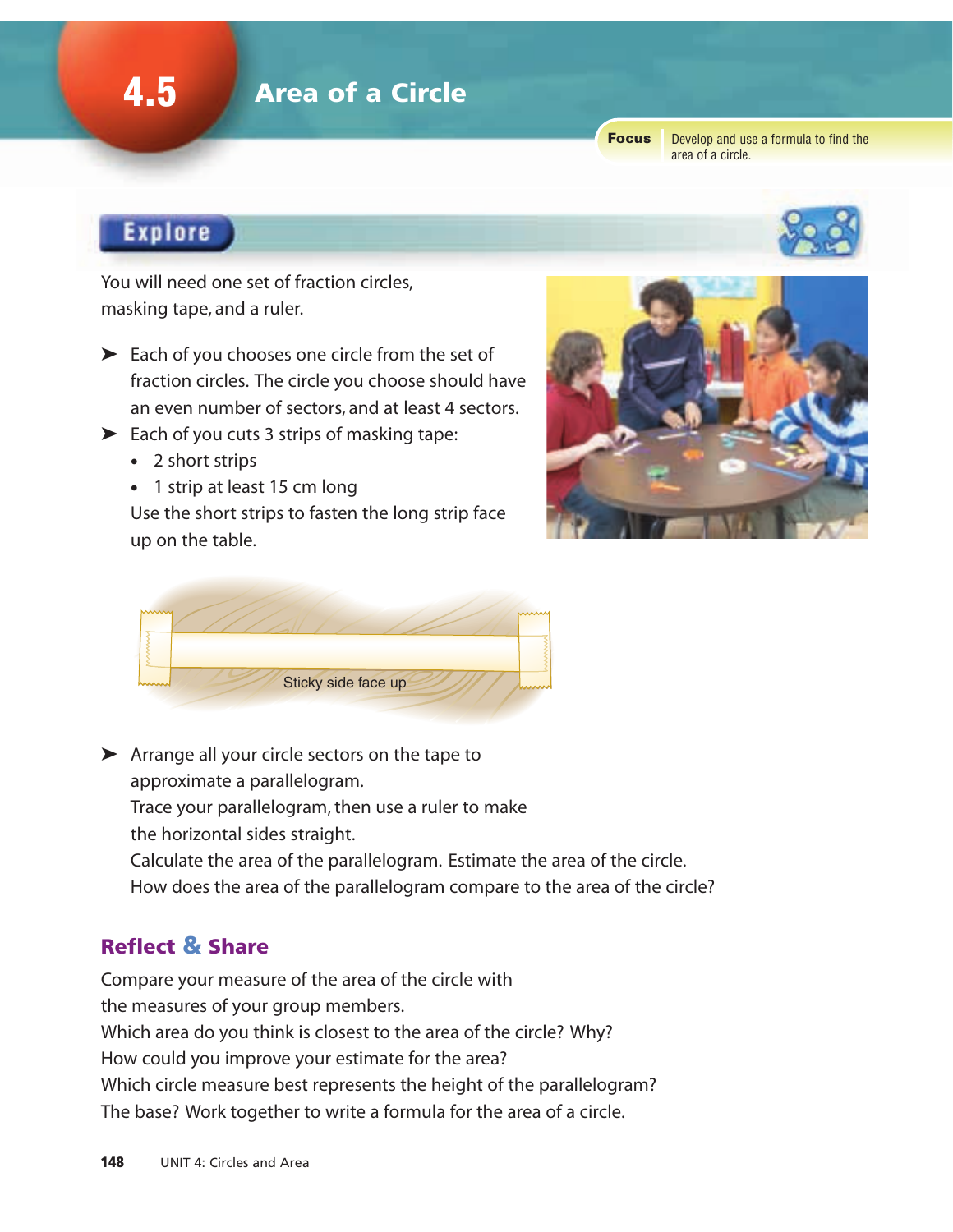## 4.5 Area of a Circle

Focus

Develop and use a formula to find the area of a circle.

## **Explore**

You will need one set of fraction circles, masking tape, and a ruler.

- ➤ Each of you chooses one circle from the set of fraction circles. The circle you choose should have an even number of sectors, and at least 4 sectors.
- ➤ Each of you cuts 3 strips of masking tape:
	- 2 short strips
	- 1 strip at least 15 cm long

Use the short strips to fasten the long strip face up on the table.





➤ Arrange all your circle sectors on the tape to approximate a parallelogram.

Trace your parallelogram, then use a ruler to make the horizontal sides straight.

Calculate the area of the parallelogram. Estimate the area of the circle.

How does the area of the parallelogram compare to the area of the circle?

### Reflect & Share

Compare your measure of the area of the circle with the measures of your group members. Which area do you think is closest to the area of the circle? Why? How could you improve your estimate for the area? Which circle measure best represents the height of the parallelogram? The base? Work together to write a formula for the area of a circle.

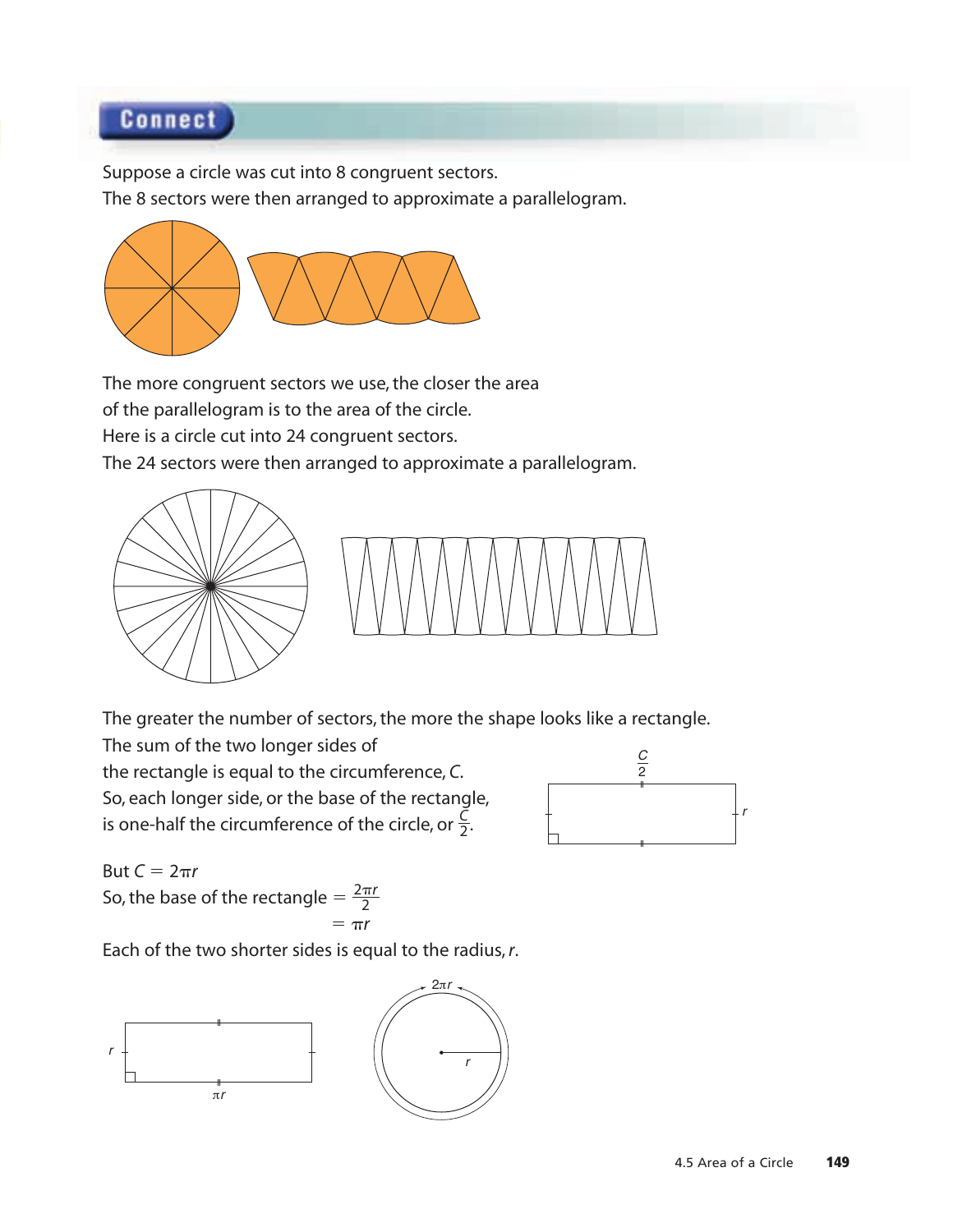## **Connect**

Suppose a circle was cut into 8 congruent sectors.

The 8 sectors were then arranged to approximate a parallelogram.



The more congruent sectors we use, the closer the area of the parallelogram is to the area of the circle. Here is a circle cut into 24 congruent sectors. The 24 sectors were then arranged to approximate a parallelogram.





The greater the number of sectors, the more the shape looks like a rectangle.

The sum of the two longer sides of the rectangle is equal to the circumference, *C*. So, each longer side, or the base of the rectangle, is one-half the circumference of the circle, or  $\frac{\vec{C}}{2}$ . 2



But  $C = 2\pi r$ So, the base of the rectangle  $=$ 

$$
\frac{e - 2}{\pi r}
$$

 $2\pi r$ 

Each of the two shorter sides is equal to the radius, *r*.

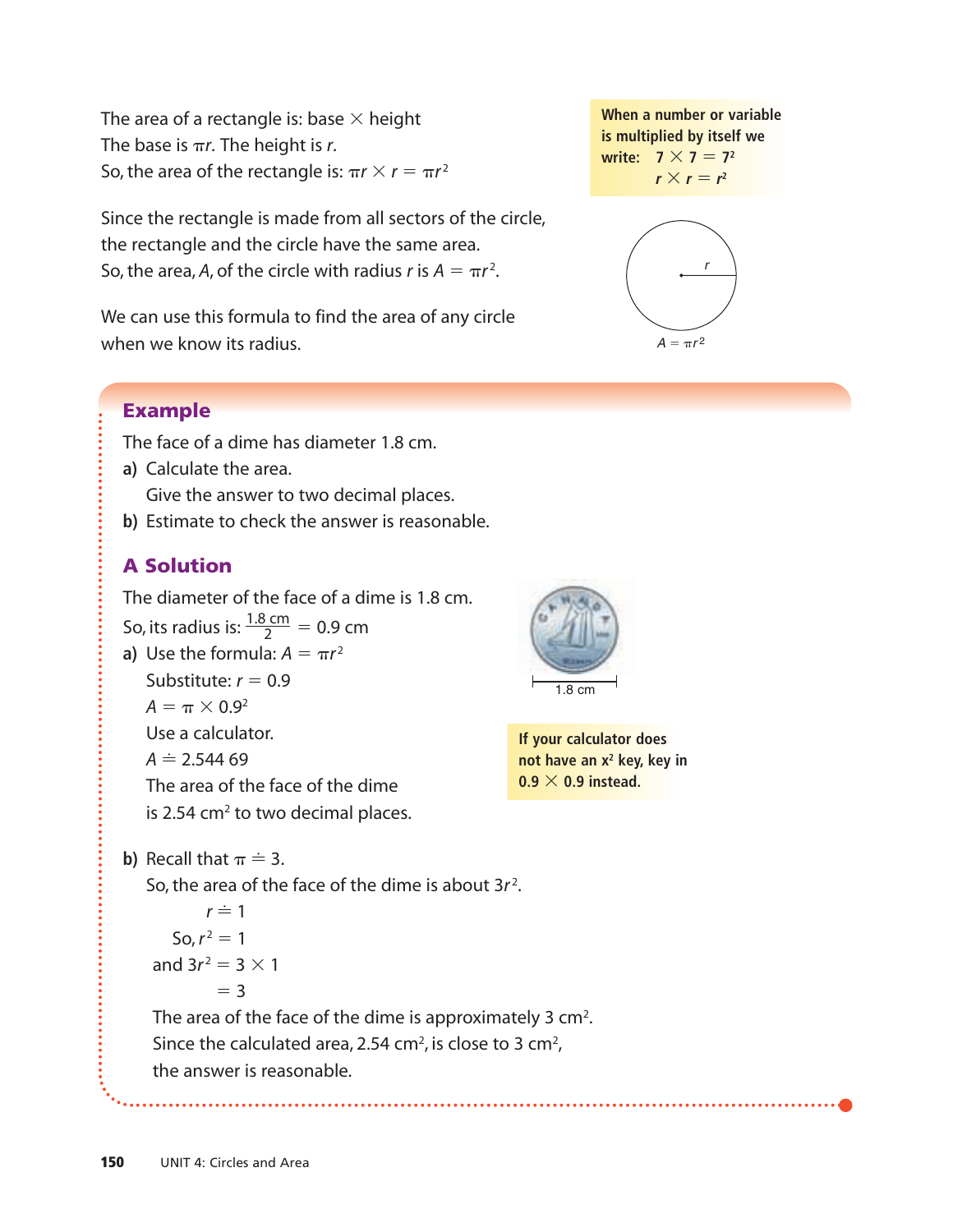The area of a rectangle is: base  $\times$  height The base is  $\pi r$ . The height is *r*. So, the area of the rectangle is:  $\pi r \times r = \pi r^2$ 

Since the rectangle is made from all sectors of the circle, the rectangle and the circle have the same area. So, the area, A, of the circle with radius *r* is  $A = \pi r^2$ .

We can use this formula to find the area of any circle when we know its radius.



The face of a dime has diameter 1.8 cm.

**a)** Calculate the area.

Give the answer to two decimal places.

**b)** Estimate to check the answer is reasonable.

## A Solution

The diameter of the face of a dime is 1.8 cm. So, its radius is:  $\frac{1.8 \text{ cm}}{2}$  = 0.9 cm **a**) Use the formula:  $A = \pi r^2$ Substitute:  $r = 0.9$  $A = \pi \times 0.9^2$ Use a calculator. 2

 $A \doteq 2.54469$ 

The area of the face of the dime

is 2.54  $\textsf{cm}^2$  to two decimal places.



**If your calculator does not have an x<sup>2</sup> key, key in**  $0.9 \times 0.9$  instead.

**b)** Recall that  $\pi \doteq 3$ .

So, the area of the face of the dime is about 3*r* 2 .

 $r \doteq 1$  $\text{So, } r^2 = 1$ and  $3r^2 = 3 \times 1$  $=$  3

The area of the face of the dime is approximately 3 cm<sup>2</sup>. Since the calculated area, 2.54 cm<sup>2</sup>, is close to 3 cm<sup>2</sup>, the answer is reasonable.

**When a number or variable is multiplied by itself we write:**  $7 \times 7 = 7^2$  $r \times r = r^2$ 

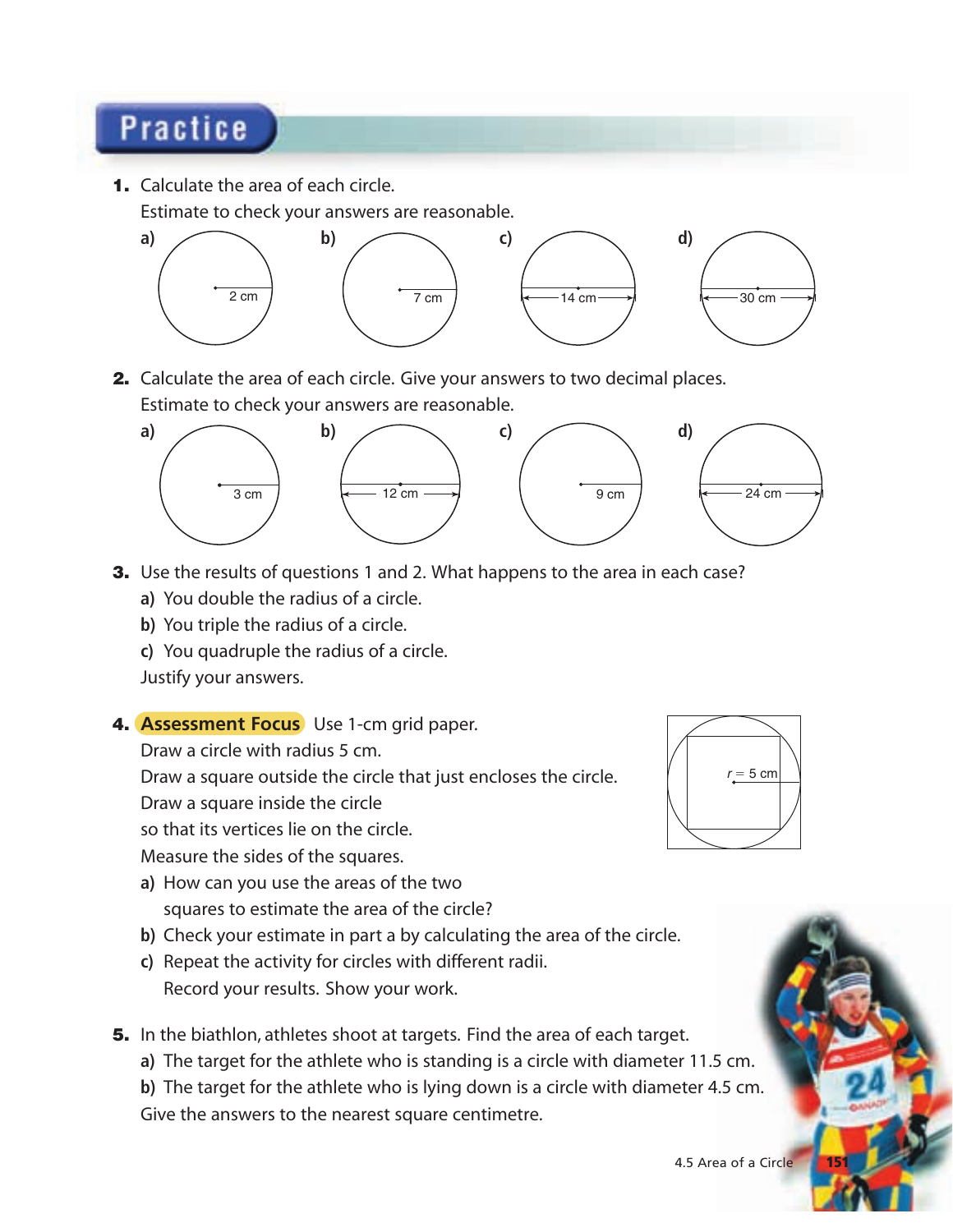# **Practice**

1. Calculate the area of each circle.

Estimate to check your answers are reasonable.



2. Calculate the area of each circle. Give your answers to two decimal places. Estimate to check your answers are reasonable.



- **3.** Use the results of questions 1 and 2. What happens to the area in each case?
	- **a)** You double the radius of a circle.
	- **b)** You triple the radius of a circle.
	- **c)** You quadruple the radius of a circle.

Justify your answers.

4. **Assessment Focus** Use 1-cm grid paper.

Draw a circle with radius 5 cm.

Draw a square outside the circle that just encloses the circle.

Draw a square inside the circle

so that its vertices lie on the circle.

Measure the sides of the squares.

- **a)** How can you use the areas of the two squares to estimate the area of the circle?
- **b)** Check your estimate in part a by calculating the area of the circle.
- **c)** Repeat the activity for circles with different radii. Record your results. Show your work.
- **5.** In the biathlon, athletes shoot at targets. Find the area of each target.

**a)** The target for the athlete who is standing is a circle with diameter 11.5 cm.

**b)** The target for the athlete who is lying down is a circle with diameter 4.5 cm. Give the answers to the nearest square centimetre.



4.5 Area of a Circle